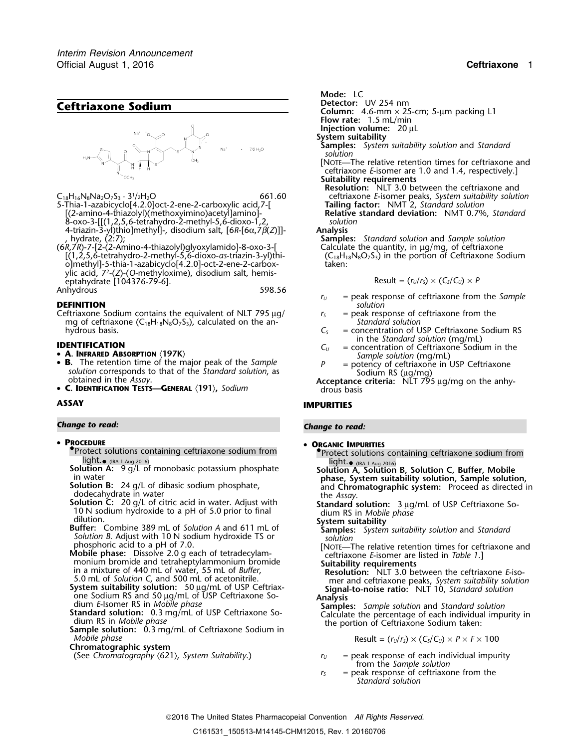

 $C_{18}H_{16}N_8Na_2O_7S_3 \cdot 3^{1}/2H_2O$ 

5-Thia-1-azabicyclo[4.2.0]oct-2-ene-2-carboxylic acid,7-[ **Tailing factor:** NMT 2, *Standard solution* [(2-amino-4-thiazolyl)(methoxyimino)acetyl]amino]- **Relative standard deviation:** NMT 0.7%, *Standard* 8-oxo-3-[[(1,2,5,6-tetrahydro-2-methyl-5,6-dioxo-1,2, *solution* 4-triazin-3-yl)thio]methyl]-, disodium salt, [6*R*-[6<sup>α</sup>,7β(*Z*)]]- **Analysis** , hydrate, (2:7); **Samples:** *Standard solution* and *Sample solution*

(6*R*,7*R*)-7-[2-(2-Amino-4-thiazolyl)glyoxylamido]-8-oxo-3-[ Calculate the quantity, in µg/mg, of ceftriaxone [(1,2,5,6-tetrahydro-2-methyl-5,6-dioxo-*as*-triazin-3-yl)thi- (C18H18N8O7S3) in the portion of Ceftriaxone Sodium o]methyl]-5-thia-1-azabicyclo[4.2.0]-oct-2-ene-2-carbox- taken: ylic acid, 7<sup>2</sup>.-(*Z*)-(*O*-methyloxime), disodium salt, hemiseptahydrate [104376-79-6]. Result = (*<sup>r</sup>U*/*<sup>r</sup>S*) × (*CS*/*CU*) <sup>×</sup> *<sup>P</sup>* Anhydrous

- Ceftriaxone Sodium contains the equivalent of NLT 795  $\mu$ g/ *r<sub>S</sub>* = peak response of ceftriaxone from the mg of ceftriaxone (C<sub>18</sub>H<sub>18</sub>N<sub>8</sub>O<sub>7</sub>S<sub>3</sub>), calculated on the an- *Standard solution* mg of ceftriaxone (C<sub>18</sub>H<sub>18</sub>N<sub>8</sub>O<sub>7</sub>S<sub>3</sub>), calculated on the an-<br>hydrous basis.  $C_5$ hydrous basis. **C**<sub>S</sub> = concentration of USP Ceftriaxone Sodium RS
- 
- 
- B. The retention time of the major peak of the Sample **A. INFRARED ABSORPTION** (197K)<br> **B.** The retention time of the major peak of the *Sample*<br>
solution corresponds to that of the *Standard solution*, as<br>
obtained in the *Assay*.<br>
obtained in the *Assay*.<br> **Acceptance crit**

• **C. IDENTIFICATION TESTS—GENERAL** 〈**191**〉**,** *Sodium* drous basis

## *Change to read: Change to read:*

- **PROCEDURE** •
	- **ORGANIC IMPURITIES**<br> **ORGANIC IMPURITIES**<br> **Protect solutions containing ceftriaxone sodium from**<br> **Protect solutions containing ceftriaxone sodium from**
	-
	-
	- Solution B: 24 g/L of dibasic sodium phosphate,<br>
	dodecahydrate in water distribution C: 20 g/L of citric acid in water. Adjust with<br>
	To N sodium hydroxide to a pH of 5.0 prior to final<br>
	dilution.<br>
	Buffer: Combine 389 mL of
	- *Solution B*. Adjust with 10 N sodium hydroxide TS or phosphoric acid to a pH of 7.0.
	- Mobile phase: Dissolve 2.0 g each of tetradecylam-<br>
	monium bromide and tetraheptylammonium bromide<br>
	in a mixture of 440 mL of water, 55 mL of *Buffer*,<br>
	5.0 mL of *Solution* C, and 500 mL of acetonitrile.<br>
	System suitabili
	-
	-
	- *Mobile phase*  $R$   $K = (r<sub>U</sub>/r<sub>S</sub>) \times (C<sub>S</sub>/C<sub>U</sub>) \times P \times F \times 100$
	- **Chromatographic system**
	-

*.* **Mode:** LC

- 
- **Ceftriaxone Sodium**<br> **Ceftriaxone Sodium**<br>
Column: 4.6-mm × 25-cm; 5-µm packing L1
	- **Flow rate:** 1.5 mL/min
	- **Injection volume:** 20 µL
	- **System suitability**
	- **Samples:** *System suitability solution* and *Standard solution*
	- [NOTE—The relative retention times for ceftriaxone and ceftriaxone *E*-isomer are 1.0 and 1.4, respectively.] **Suitability requirements**
	- **Resolution:** NLT 3.0 between the ceftriaxone and 661.60 ceftriaxone *E*-isomer peaks, *System suitability solution*<br>7-[ **Tailing factor:** NMT 2, *Standard solution*

Result = 
$$
(r_U/r_s) \times (C_s/C_U) \times P
$$

- *<sup>r</sup><sup>U</sup>* = peak response of ceftriaxone from the *Sample* **DEFINITION** *solution*
	-
- **IDENTIFICATION** in the *Standard solution* (mg/mL)<br>  $C_U$  = concentration of Ceftriaxone Sodium in the
- **<sup>A</sup>. INFRARED ABSORPTION** 〈**197K**〉 *Sample solution* (mg/mL)
	-

# **ASSAY IMPURITIES**

- -
- ■Protect solutions containing ceftriaxone sodium from<br>
light. (IRA 1-Aug-2016)<br>
Solution A: 9 g/L of monobasic potassium phosphate<br>
in water<br>
Solution B: 24 g/L of dibasic sodium phosphate,<br>
Solution B: 24 g/L of dibasi
	-
	-
	-
	- [NOTE—The relative retention times for ceftriaxone and ceftriaxone  $E$ -isomer are listed in *Table 1*.]
- 5.0 mL of Solution C, and 500 mL of acetonitrile.<br>
Solution: 50 µg/mL of USP Ceftriax-<br>
Signal-to-noise ratio: NLT 10, Standard solution<br>
one Sodium RS and 50 µg/mL of USP Ceftriaxone So-<br>
Analysis
- one Sodium RS and 50 <sup>µ</sup>g/mL of USP Ceftriaxone So- **Analysis** dium *E*-Isomer RS in *Mobile phase* **Samples:** *Sample solution* and *Standard solution* **Standard solution:** 0.3 mg/mL of USP Ceftriaxone So-<br>dium RS in *Mobile phase*<br>**Sample solution:** 0.3 mg/mL of Ceftriaxone Sodium in<br>Mobile phase<br>Mobile phase<br>Mobile phase<br>Mobile phase<br>Mobile phase<br>Mobile phase<br>Mobile ph

$$
Result = (r_U/r_S) \times (C_S/C_U) \times P \times F \times 100
$$

- (See *Chromatography* 〈621〉*, System Suitability*.) *<sup>r</sup><sup>U</sup>* = peak response of each individual impurity from the *Sample solution*
	- $r<sub>S</sub>$  = peak response of ceftriaxone from the *Standard solution*